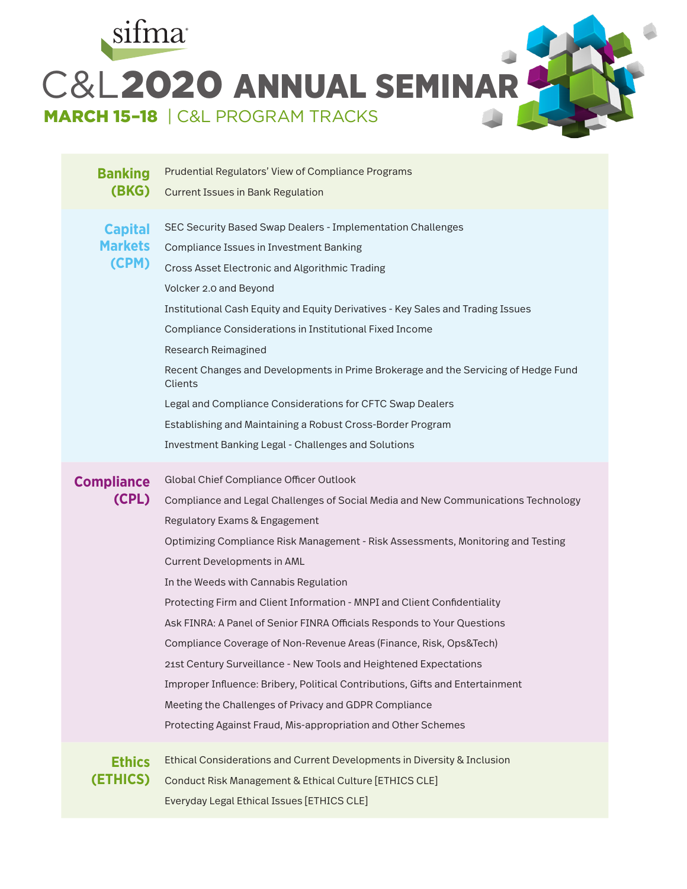

## **Banking (BKG)** Prudential Regulators' View of Compliance Programs Current Issues in Bank Regulation **Capital Markets**  SEC Security Based Swap Dealers - Implementation Challenges Compliance Issues in Investment Banking

**(CPM)** Cross Asset Electronic and Algorithmic Trading Volcker 2.0 and Beyond Institutional Cash Equity and Equity Derivatives - Key Sales and Trading Issues Compliance Considerations in Institutional Fixed Income Research Reimagined Recent Changes and Developments in Prime Brokerage and the Servicing of Hedge Fund **Clients** Legal and Compliance Considerations for CFTC Swap Dealers Establishing and Maintaining a Robust Cross-Border Program Investment Banking Legal - Challenges and Solutions **Compliance (CPL)** Global Chief Compliance Officer Outlook Compliance and Legal Challenges of Social Media and New Communications Technology Regulatory Exams & Engagement

Optimizing Compliance Risk Management - Risk Assessments, Monitoring and Testing Current Developments in AML

In the Weeds with Cannabis Regulation Protecting Firm and Client Information - MNPI and Client Confidentiality Ask FINRA: A Panel of Senior FINRA Officials Responds to Your Questions Compliance Coverage of Non-Revenue Areas (Finance, Risk, Ops&Tech) 21st Century Surveillance - New Tools and Heightened Expectations Improper Influence: Bribery, Political Contributions, Gifts and Entertainment Meeting the Challenges of Privacy and GDPR Compliance Protecting Against Fraud, Mis-appropriation and Other Schemes



Ethical Considerations and Current Developments in Diversity & Inclusion Conduct Risk Management & Ethical Culture [ETHICS CLE] Everyday Legal Ethical Issues [ETHICS CLE]